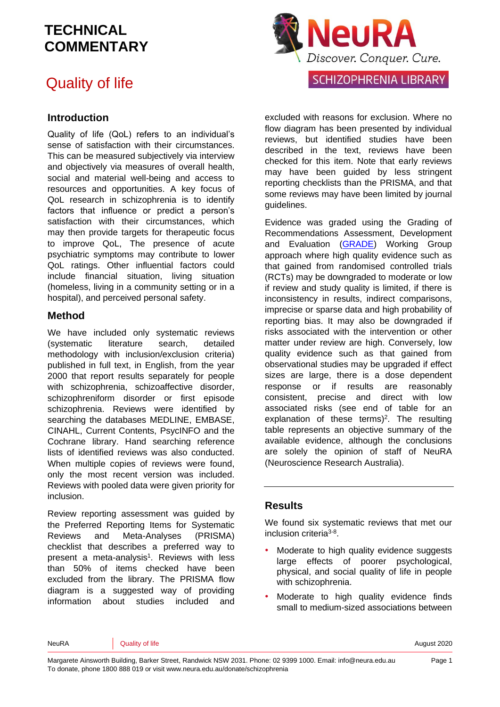## Quality of life

#### **Introduction**

Quality of life (QoL) refers to an individual's sense of satisfaction with their circumstances. This can be measured subjectively via interview and objectively via measures of overall health, social and material well-being and access to resources and opportunities. A key focus of QoL research in schizophrenia is to identify factors that influence or predict a person's satisfaction with their circumstances, which may then provide targets for therapeutic focus to improve QoL, The presence of acute psychiatric symptoms may contribute to lower QoL ratings. Other influential factors could include financial situation, living situation (homeless, living in a community setting or in a hospital), and perceived personal safety.

#### **Method**

We have included only systematic reviews (systematic literature search, detailed methodology with inclusion/exclusion criteria) published in full text, in English, from the year 2000 that report results separately for people with schizophrenia, schizoaffective disorder, schizophreniform disorder or first episode schizophrenia. Reviews were identified by searching the databases MEDLINE, EMBASE, CINAHL, Current Contents, PsycINFO and the Cochrane library. Hand searching reference lists of identified reviews was also conducted. When multiple copies of reviews were found, only the most recent version was included. Reviews with pooled data were given priority for inclusion.

Review reporting assessment was guided by the Preferred Reporting Items for Systematic Reviews and Meta-Analyses (PRISMA) checklist that describes a preferred way to present a meta-analysis<sup>1</sup>. Reviews with less than 50% of items checked have been excluded from the library. The PRISMA flow diagram is a suggested way of providing information about studies included and



excluded with reasons for exclusion. Where no flow diagram has been presented by individual reviews, but identified studies have been described in the text, reviews have been checked for this item. Note that early reviews may have been guided by less stringent reporting checklists than the PRISMA, and that some reviews may have been limited by journal guidelines.

Evidence was graded using the Grading of Recommendations Assessment, Development and Evaluation [\(GRADE\)](http://www.gradeworkinggroup.org/) Working Group approach where high quality evidence such as that gained from randomised controlled trials (RCTs) may be downgraded to moderate or low if review and study quality is limited, if there is inconsistency in results, indirect comparisons, imprecise or sparse data and high probability of reporting bias. It may also be downgraded if risks associated with the intervention or other matter under review are high. Conversely, low quality evidence such as that gained from observational studies may be upgraded if effect sizes are large, there is a dose dependent response or if results are reasonably consistent, precise and direct with low associated risks (see end of table for an explanation of these terms)<sup>2</sup>. The resulting table represents an objective summary of the available evidence, although the conclusions are solely the opinion of staff of NeuRA (Neuroscience Research Australia).

#### **Results**

We found six systematic reviews that met our inclusion criteria<sup>3-8</sup>.

- Moderate to high quality evidence suggests large effects of poorer psychological, physical, and social quality of life in people with schizophrenia.
- Moderate to high quality evidence finds small to medium-sized associations between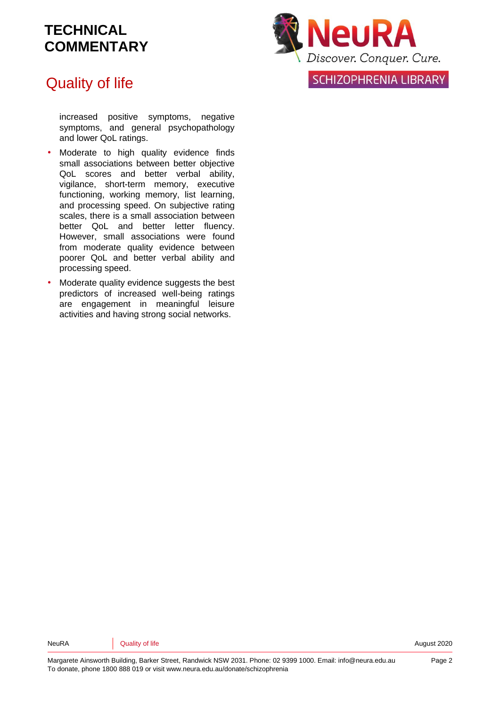## Quality of life

increased positive symptoms, negative symptoms, and general psychopathology and lower QoL ratings.

- Moderate to high quality evidence finds small associations between better objective QoL scores and better verbal ability, vigilance, short-term memory, executive functioning, working memory, list learning, and processing speed. On subjective rating scales, there is a small association between better QoL and better letter fluency. However, small associations were found from moderate quality evidence between poorer QoL and better verbal ability and processing speed.
- Moderate quality evidence suggests the best predictors of increased well-being ratings are engagement in meaningful leisure activities and having strong social networks.



SCHIZOPHRENIA LIBRARY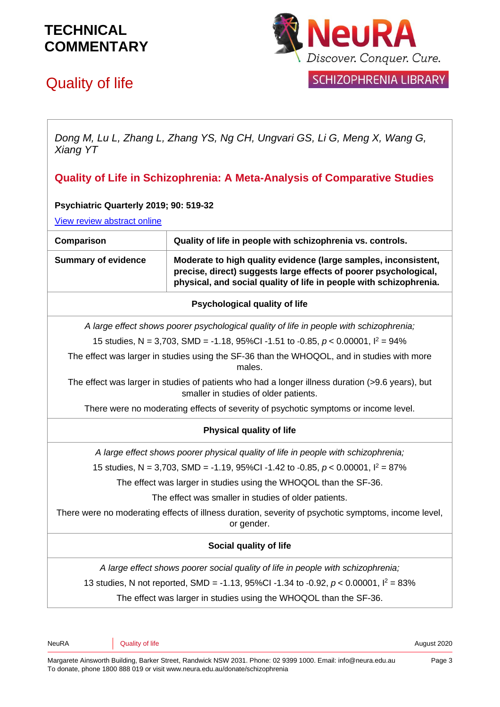# Quality of life



SCHIZOPHRENIA LIBRARY

*Dong M, Lu L, Zhang L, Zhang YS, Ng CH, Ungvari GS, Li G, Meng X, Wang G, Xiang YT*

**Quality of Life in Schizophrenia: A Meta-Analysis of Comparative Studies**

#### **Psychiatric Quarterly 2019; 90: 519-32**

[View review abstract online](https://pubmed.ncbi.nlm.nih.gov/31119453/)

| <b>VIGW IGVIGW QUOLIQUE UNITED</b>                                                                                                        |                                                                                                                                                                                                           |  |
|-------------------------------------------------------------------------------------------------------------------------------------------|-----------------------------------------------------------------------------------------------------------------------------------------------------------------------------------------------------------|--|
| Comparison<br>Quality of life in people with schizophrenia vs. controls.                                                                  |                                                                                                                                                                                                           |  |
| <b>Summary of evidence</b>                                                                                                                | Moderate to high quality evidence (large samples, inconsistent,<br>precise, direct) suggests large effects of poorer psychological,<br>physical, and social quality of life in people with schizophrenia. |  |
|                                                                                                                                           | <b>Psychological quality of life</b>                                                                                                                                                                      |  |
|                                                                                                                                           | A large effect shows poorer psychological quality of life in people with schizophrenia;                                                                                                                   |  |
|                                                                                                                                           | 15 studies, N = 3,703, SMD = -1.18, 95%CI -1.51 to -0.85, $p < 0.00001$ , $l^2 = 94\%$                                                                                                                    |  |
| The effect was larger in studies using the SF-36 than the WHOQOL, and in studies with more<br>males.                                      |                                                                                                                                                                                                           |  |
| The effect was larger in studies of patients who had a longer illness duration (>9.6 years), but<br>smaller in studies of older patients. |                                                                                                                                                                                                           |  |
|                                                                                                                                           | There were no moderating effects of severity of psychotic symptoms or income level.                                                                                                                       |  |
|                                                                                                                                           | <b>Physical quality of life</b>                                                                                                                                                                           |  |
|                                                                                                                                           | A large effect shows poorer physical quality of life in people with schizophrenia;                                                                                                                        |  |
| 15 studies, N = 3,703, SMD = -1.19, 95%CI -1.42 to -0.85, $p < 0.00001$ , $l^2 = 87\%$                                                    |                                                                                                                                                                                                           |  |
| The effect was larger in studies using the WHOQOL than the SF-36.                                                                         |                                                                                                                                                                                                           |  |
| The effect was smaller in studies of older patients.                                                                                      |                                                                                                                                                                                                           |  |
| There were no moderating effects of illness duration, severity of psychotic symptoms, income level,<br>or gender.                         |                                                                                                                                                                                                           |  |
| Social quality of life                                                                                                                    |                                                                                                                                                                                                           |  |
|                                                                                                                                           | A large effect shows poorer social quality of life in people with schizophrenia;                                                                                                                          |  |
|                                                                                                                                           | 13 studies, N not reported, SMD = -1.13, 95%CI -1.34 to -0.92, $p < 0.00001$ , $l^2 = 83\%$                                                                                                               |  |
| The effect was larger in studies using the WHOQOL than the SF-36.                                                                         |                                                                                                                                                                                                           |  |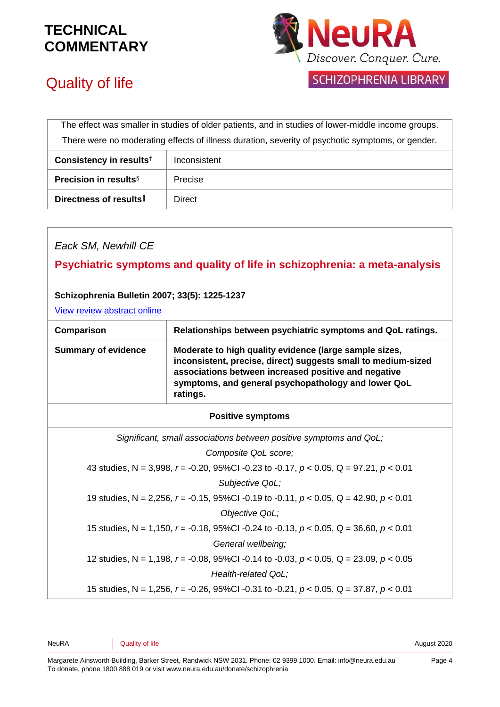

# Quality of life

SCHIZOPHRENIA LIBRARY

| The effect was smaller in studies of older patients, and in studies of lower-middle income groups. |         |  |
|----------------------------------------------------------------------------------------------------|---------|--|
| There were no moderating effects of illness duration, severity of psychotic symptoms, or gender.   |         |  |
| Consistency in results <sup>#</sup><br>Inconsistent                                                |         |  |
| <b>Precision in results</b> <sup>§</sup>                                                           | Precise |  |
| Directness of results                                                                              | Direct  |  |

#### *Eack SM, Newhill CE*

**Psychiatric symptoms and quality of life in schizophrenia: a meta-analysis**

#### **Schizophrenia Bulletin 2007; 33(5): 1225-1237**

[View review abstract online](http://schizophreniabulletin.oxfordjournals.org/cgi/content/short/33/5/1225)

| Comparison<br>Relationships between psychiatric symptoms and QoL ratings.                                                                                                                                                                                                        |                                                                                               |  |  |  |
|----------------------------------------------------------------------------------------------------------------------------------------------------------------------------------------------------------------------------------------------------------------------------------|-----------------------------------------------------------------------------------------------|--|--|--|
| Moderate to high quality evidence (large sample sizes,<br><b>Summary of evidence</b><br>inconsistent, precise, direct) suggests small to medium-sized<br>associations between increased positive and negative<br>symptoms, and general psychopathology and lower QoL<br>ratings. |                                                                                               |  |  |  |
| <b>Positive symptoms</b>                                                                                                                                                                                                                                                         |                                                                                               |  |  |  |
| Significant, small associations between positive symptoms and QoL;                                                                                                                                                                                                               |                                                                                               |  |  |  |
| Composite QoL score;                                                                                                                                                                                                                                                             |                                                                                               |  |  |  |
| 43 studies, N = 3,998, $r = -0.20$ , 95%Cl -0.23 to -0.17, $p < 0.05$ , Q = 97.21, $p < 0.01$                                                                                                                                                                                    |                                                                                               |  |  |  |
| Subjective QoL;                                                                                                                                                                                                                                                                  |                                                                                               |  |  |  |
| 19 studies, N = 2,256, $r = -0.15$ , 95%CI -0.19 to -0.11, $p < 0.05$ , Q = 42.90, $p < 0.01$                                                                                                                                                                                    |                                                                                               |  |  |  |
| Objective QoL;                                                                                                                                                                                                                                                                   |                                                                                               |  |  |  |
| 15 studies, N = 1,150, $r = -0.18$ , 95%CI -0.24 to -0.13, $p < 0.05$ , Q = 36.60, $p < 0.01$                                                                                                                                                                                    |                                                                                               |  |  |  |
|                                                                                                                                                                                                                                                                                  | General wellbeing;                                                                            |  |  |  |
|                                                                                                                                                                                                                                                                                  | 12 studies, N = 1,198, $r = -0.08$ , 95%Cl -0.14 to -0.03, $p < 0.05$ , Q = 23.09, $p < 0.05$ |  |  |  |
|                                                                                                                                                                                                                                                                                  | Health-related QoL;                                                                           |  |  |  |
|                                                                                                                                                                                                                                                                                  | 15 studies, N = 1,256, $r = -0.26$ , 95%Cl -0.31 to -0.21, $p < 0.05$ , Q = 37.87, $p < 0.01$ |  |  |  |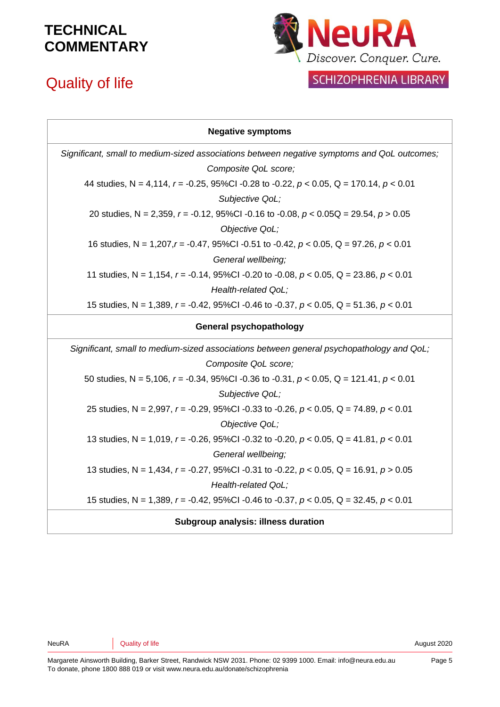# Quality of life



#### SCHIZOPHRENIA LIBRARY

| <b>Negative symptoms</b>                                                                       |
|------------------------------------------------------------------------------------------------|
| Significant, small to medium-sized associations between negative symptoms and QoL outcomes;    |
| Composite QoL score;                                                                           |
| 44 studies, N = 4,114, $r = -0.25$ , 95%Cl -0.28 to -0.22, $p < 0.05$ , Q = 170.14, $p < 0.01$ |
| Subjective QoL;                                                                                |
| 20 studies, N = 2,359, r = -0.12, 95%Cl -0.16 to -0.08, $p < 0.05Q = 29.54$ , $p > 0.05Q$      |
| Objective QoL;                                                                                 |
| 16 studies, N = $1,207,r = -0.47$ , 95%Cl -0.51 to -0.42, $p < 0.05$ , Q = 97.26, $p < 0.01$   |
| General wellbeing;                                                                             |
| 11 studies, N = 1,154, $r = -0.14$ , 95%Cl -0.20 to -0.08, $p < 0.05$ , Q = 23.86, $p < 0.01$  |
| Health-related QoL;                                                                            |
| 15 studies, N = 1,389, $r = -0.42$ , 95%Cl -0.46 to -0.37, $p < 0.05$ , Q = 51.36, $p < 0.01$  |
| <b>General psychopathology</b>                                                                 |
| Significant, small to medium-sized associations between general psychopathology and QoL;       |
| Composite QoL score;                                                                           |
| 50 studies, N = 5,106, $r = -0.34$ , 95%Cl -0.36 to -0.31, $p < 0.05$ , Q = 121.41, $p < 0.01$ |
| Subjective QoL;                                                                                |
| 25 studies, N = 2,997, r = -0.29, 95%CI -0.33 to -0.26, $p < 0.05$ , Q = 74.89, $p < 0.01$     |
| Objective QoL;                                                                                 |
| 13 studies, N = 1,019, $r = -0.26$ , 95%Cl -0.32 to -0.20, $p < 0.05$ , Q = 41.81, $p < 0.01$  |
| General wellbeing;                                                                             |
| 13 studies, N = 1,434, $r = -0.27$ , 95%Cl -0.31 to -0.22, $p < 0.05$ , Q = 16.91, $p > 0.05$  |
| Health-related QoL;                                                                            |
| 15 studies, N = 1,389, $r = -0.42$ , 95%Cl -0.46 to -0.37, $p < 0.05$ , Q = 32.45, $p < 0.01$  |
| <b>Subgroup analysis: illness duration</b>                                                     |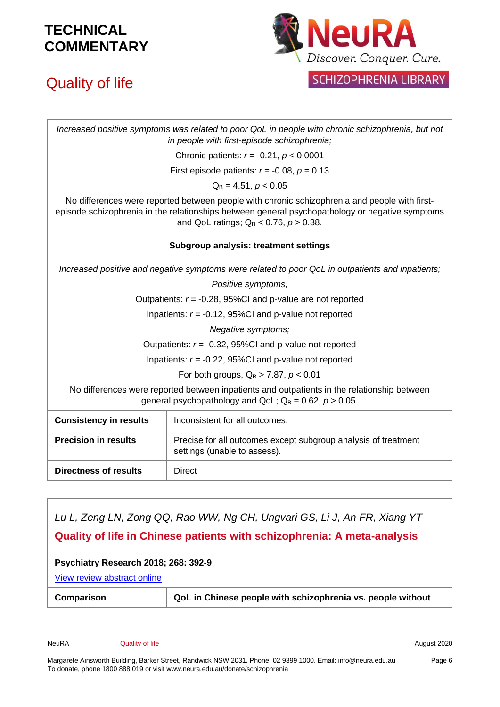# Quality of life



**SCHIZOPHRENIA LIBRARY** 

*Increased positive symptoms was related to poor QoL in people with chronic schizophrenia, but not in people with first-episode schizophrenia;*

Chronic patients: *r* = -0.21, *p* < 0.0001

First episode patients: *r* = -0.08, *p* = 0.13

 $Q_B = 4.51, p < 0.05$ 

No differences were reported between people with chronic schizophrenia and people with firstepisode schizophrenia in the relationships between general psychopathology or negative symptoms and QoL ratings;  $Q_B < 0.76$ ,  $p > 0.38$ .

#### **Subgroup analysis: treatment settings**

*Increased positive and negative symptoms were related to poor QoL in outpatients and inpatients;*

*Positive symptoms;*

Outpatients: *r* = -0.28, 95%CI and p-value are not reported

Inpatients: *r* = -0.12, 95%CI and p-value not reported

*Negative symptoms;*

Outpatients: *r* = -0.32, 95%CI and p-value not reported

Inpatients: *r* = -0.22, 95%CI and p-value not reported

For both groups,  $Q_B > 7.87$ ,  $p < 0.01$ 

No differences were reported between inpatients and outpatients in the relationship between general psychopathology and QoL;  $Q_B = 0.62$ ,  $p > 0.05$ .

| <b>Consistency in results</b> | Inconsistent for all outcomes.                                                                 |  |
|-------------------------------|------------------------------------------------------------------------------------------------|--|
| <b>Precision in results</b>   | Precise for all outcomes except subgroup analysis of treatment<br>settings (unable to assess). |  |
| Directness of results         | Direct                                                                                         |  |

# *Lu L, Zeng LN, Zong QQ, Rao WW, Ng CH, Ungvari GS, Li J, An FR, Xiang YT* **Quality of life in Chinese patients with schizophrenia: A meta-analysis Psychiatry Research 2018; 268: 392-9** [View review abstract online](https://www.ncbi.nlm.nih.gov/pubmed/30125870)

**Comparison QoL in Chinese people with schizophrenia vs. people without**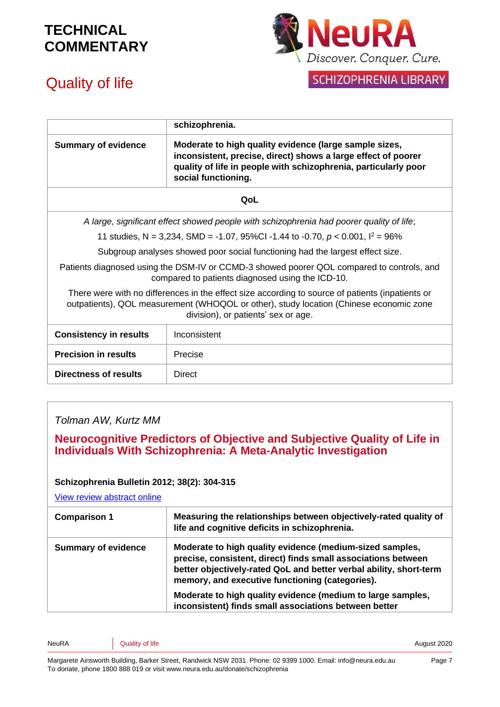



#### SCHIZOPHRENIA LIBRARY

|                                                                                                                                                                                                                                   | schizophrenia.                                                                                                                                                                                                    |  |  |
|-----------------------------------------------------------------------------------------------------------------------------------------------------------------------------------------------------------------------------------|-------------------------------------------------------------------------------------------------------------------------------------------------------------------------------------------------------------------|--|--|
| <b>Summary of evidence</b>                                                                                                                                                                                                        | Moderate to high quality evidence (large sample sizes,<br>inconsistent, precise, direct) shows a large effect of poorer<br>quality of life in people with schizophrenia, particularly poor<br>social functioning. |  |  |
| QoL                                                                                                                                                                                                                               |                                                                                                                                                                                                                   |  |  |
| A large, significant effect showed people with schizophrenia had poorer quality of life;                                                                                                                                          |                                                                                                                                                                                                                   |  |  |
|                                                                                                                                                                                                                                   | 11 studies, N = 3,234, SMD = -1.07, 95%CI -1.44 to -0.70, $p < 0.001$ , $l^2 = 96\%$                                                                                                                              |  |  |
| Subgroup analyses showed poor social functioning had the largest effect size.                                                                                                                                                     |                                                                                                                                                                                                                   |  |  |
| Patients diagnosed using the DSM-IV or CCMD-3 showed poorer QOL compared to controls, and<br>compared to patients diagnosed using the ICD-10.                                                                                     |                                                                                                                                                                                                                   |  |  |
| There were with no differences in the effect size according to source of patients (inpatients or<br>outpatients), QOL measurement (WHOQOL or other), study location (Chinese economic zone<br>division), or patients' sex or age. |                                                                                                                                                                                                                   |  |  |
| <b>Consistency in results</b>                                                                                                                                                                                                     | Inconsistent                                                                                                                                                                                                      |  |  |
| <b>Precision in results</b><br>Precise                                                                                                                                                                                            |                                                                                                                                                                                                                   |  |  |
| <b>Directness of results</b><br>Direct                                                                                                                                                                                            |                                                                                                                                                                                                                   |  |  |
|                                                                                                                                                                                                                                   |                                                                                                                                                                                                                   |  |  |

#### *Tolman AW, Kurtz MM*

#### **Neurocognitive Predictors of Objective and Subjective Quality of Life in Individuals With Schizophrenia: A Meta-Analytic Investigation**

#### **Schizophrenia Bulletin 2012; 38(2): 304-315**

[View review abstract online](http://schizophreniabulletin.oxfordjournals.org/content/early/2010/07/11/schbul.sbq077)

| <b>Comparison 1</b>        | Measuring the relationships between objectively-rated quality of<br>life and cognitive deficits in schizophrenia.                                                                                                                                  |
|----------------------------|----------------------------------------------------------------------------------------------------------------------------------------------------------------------------------------------------------------------------------------------------|
| <b>Summary of evidence</b> | Moderate to high quality evidence (medium-sized samples,<br>precise, consistent, direct) finds small associations between<br>better objectively-rated QoL and better verbal ability, short-term<br>memory, and executive functioning (categories). |
|                            | Moderate to high quality evidence (medium to large samples,<br>inconsistent) finds small associations between better                                                                                                                               |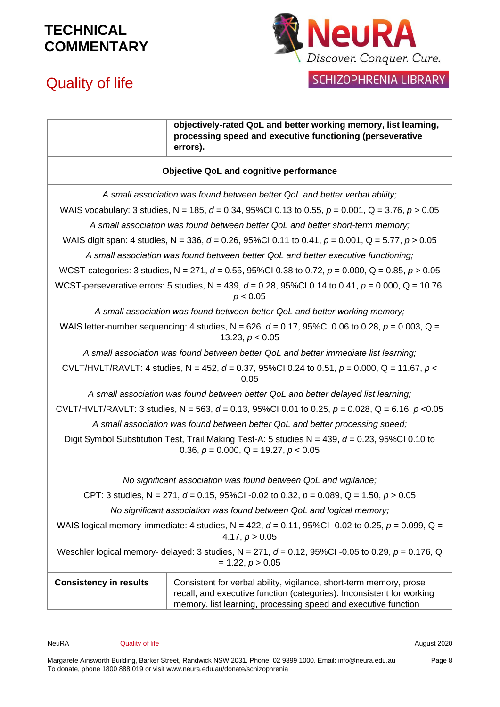

# Quality of life

| I SCHIZOPHRENIA LIBRARY |  |  |  |
|-------------------------|--|--|--|
|                         |  |  |  |

|                                                                                                                                                    | objectively-rated QoL and better working memory, list learning,<br>processing speed and executive functioning (perseverative<br>errors).                                                                      |  |
|----------------------------------------------------------------------------------------------------------------------------------------------------|---------------------------------------------------------------------------------------------------------------------------------------------------------------------------------------------------------------|--|
| <b>Objective QoL and cognitive performance</b>                                                                                                     |                                                                                                                                                                                                               |  |
|                                                                                                                                                    | A small association was found between better QoL and better verbal ability;                                                                                                                                   |  |
|                                                                                                                                                    | WAIS vocabulary: 3 studies, N = 185, d = 0.34, 95%Cl 0.13 to 0.55, $p = 0.001$ , Q = 3.76, $p > 0.05$                                                                                                         |  |
|                                                                                                                                                    | A small association was found between better QoL and better short-term memory;                                                                                                                                |  |
|                                                                                                                                                    | WAIS digit span: 4 studies, N = 336, d = 0.26, 95%CI 0.11 to 0.41, $p = 0.001$ , Q = 5.77, $p > 0.05$                                                                                                         |  |
|                                                                                                                                                    | A small association was found between better QoL and better executive functioning;                                                                                                                            |  |
|                                                                                                                                                    | WCST-categories: 3 studies, N = 271, d = 0.55, 95%Cl 0.38 to 0.72, $p = 0.000$ , Q = 0.85, $p > 0.05$                                                                                                         |  |
|                                                                                                                                                    | WCST-perseverative errors: 5 studies, N = 439, $d = 0.28$ , 95%Cl 0.14 to 0.41, $p = 0.000$ , Q = 10.76,<br>p < 0.05                                                                                          |  |
|                                                                                                                                                    | A small association was found between better QoL and better working memory;                                                                                                                                   |  |
|                                                                                                                                                    | WAIS letter-number sequencing: 4 studies, $N = 626$ , $d = 0.17$ , 95%Cl 0.06 to 0.28, $p = 0.003$ , Q =<br>13.23, $p < 0.05$                                                                                 |  |
|                                                                                                                                                    | A small association was found between better QoL and better immediate list learning;                                                                                                                          |  |
|                                                                                                                                                    | CVLT/HVLT/RAVLT: 4 studies, N = 452, d = 0.37, 95%Cl 0.24 to 0.51, $p = 0.000$ , Q = 11.67, $p <$<br>0.05                                                                                                     |  |
|                                                                                                                                                    | A small association was found between better QoL and better delayed list learning;                                                                                                                            |  |
|                                                                                                                                                    | CVLT/HVLT/RAVLT: 3 studies, N = 563, d = 0.13, 95%CI 0.01 to 0.25, $p = 0.028$ , Q = 6.16, $p < 0.05$                                                                                                         |  |
| A small association was found between better QoL and better processing speed;                                                                      |                                                                                                                                                                                                               |  |
| Digit Symbol Substitution Test, Trail Making Test-A: 5 studies N = 439, $d = 0.23$ , 95%Cl 0.10 to<br>0.36, $p = 0.000$ , $Q = 19.27$ , $p < 0.05$ |                                                                                                                                                                                                               |  |
|                                                                                                                                                    | No significant association was found between QoL and vigilance;                                                                                                                                               |  |
| CPT: 3 studies, N = 271, d = 0.15, 95%Cl -0.02 to 0.32, $p = 0.089$ , Q = 1.50, $p > 0.05$                                                         |                                                                                                                                                                                                               |  |
| No significant association was found between QoL and logical memory;                                                                               |                                                                                                                                                                                                               |  |
| WAIS logical memory-immediate: 4 studies, N = 422, $d = 0.11$ , 95%CI -0.02 to 0.25, $p = 0.099$ , Q =<br>4.17, $p > 0.05$                         |                                                                                                                                                                                                               |  |
| Weschler logical memory- delayed: 3 studies, N = 271, $d = 0.12$ , 95%Cl -0.05 to 0.29, $p = 0.176$ , Q<br>$= 1.22, p > 0.05$                      |                                                                                                                                                                                                               |  |
| <b>Consistency in results</b>                                                                                                                      | Consistent for verbal ability, vigilance, short-term memory, prose<br>recall, and executive function (categories). Inconsistent for working<br>memory, list learning, processing speed and executive function |  |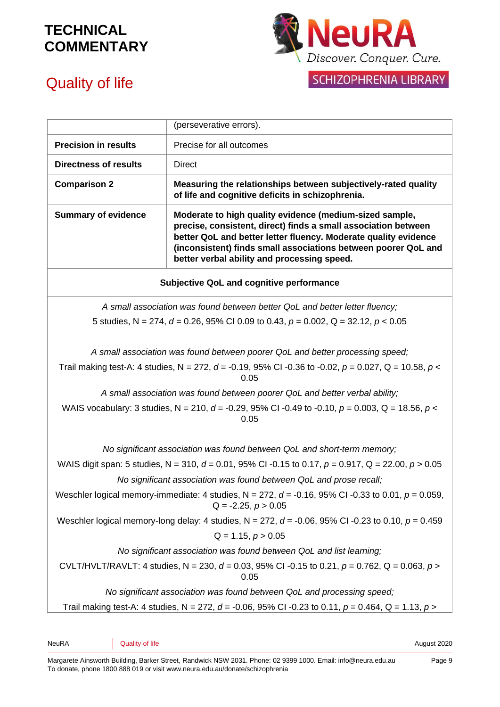

SCHIZOPHRENIA LIBRARY

## Quality of life

|                                                                                                                                         | (perseverative errors).                                                                                                                                                                                                                                                                                       |  |  |
|-----------------------------------------------------------------------------------------------------------------------------------------|---------------------------------------------------------------------------------------------------------------------------------------------------------------------------------------------------------------------------------------------------------------------------------------------------------------|--|--|
| <b>Precision in results</b>                                                                                                             | Precise for all outcomes                                                                                                                                                                                                                                                                                      |  |  |
| <b>Directness of results</b><br><b>Direct</b>                                                                                           |                                                                                                                                                                                                                                                                                                               |  |  |
| <b>Comparison 2</b>                                                                                                                     | Measuring the relationships between subjectively-rated quality<br>of life and cognitive deficits in schizophrenia.                                                                                                                                                                                            |  |  |
| <b>Summary of evidence</b>                                                                                                              | Moderate to high quality evidence (medium-sized sample,<br>precise, consistent, direct) finds a small association between<br>better QoL and better letter fluency. Moderate quality evidence<br>(inconsistent) finds small associations between poorer QoL and<br>better verbal ability and processing speed. |  |  |
| <b>Subjective QoL and cognitive performance</b>                                                                                         |                                                                                                                                                                                                                                                                                                               |  |  |
|                                                                                                                                         | A small association was found between better QoL and better letter fluency;                                                                                                                                                                                                                                   |  |  |
|                                                                                                                                         | 5 studies, N = 274, $d = 0.26$ , 95% CI 0.09 to 0.43, $p = 0.002$ , Q = 32.12, $p < 0.05$                                                                                                                                                                                                                     |  |  |
|                                                                                                                                         |                                                                                                                                                                                                                                                                                                               |  |  |
|                                                                                                                                         | A small association was found between poorer QoL and better processing speed;                                                                                                                                                                                                                                 |  |  |
| Trail making test-A: 4 studies, N = 272, d = -0.19, 95% CI -0.36 to -0.02, p = 0.027, Q = 10.58, p <<br>0.05                            |                                                                                                                                                                                                                                                                                                               |  |  |
| A small association was found between poorer QoL and better verbal ability;                                                             |                                                                                                                                                                                                                                                                                                               |  |  |
| WAIS vocabulary: 3 studies, N = 210, d = -0.29, 95% CI -0.49 to -0.10, $p = 0.003$ , Q = 18.56, p <<br>0.05                             |                                                                                                                                                                                                                                                                                                               |  |  |
| No significant association was found between QoL and short-term memory;                                                                 |                                                                                                                                                                                                                                                                                                               |  |  |
| WAIS digit span: 5 studies, N = 310, $d = 0.01$ , 95% CI -0.15 to 0.17, $p = 0.917$ , Q = 22.00, $p > 0.05$                             |                                                                                                                                                                                                                                                                                                               |  |  |
|                                                                                                                                         | No significant association was found between QoL and prose recall;                                                                                                                                                                                                                                            |  |  |
| Weschler logical memory-immediate: 4 studies, $N = 272$ , $d = -0.16$ , 95% CI -0.33 to 0.01, $p = 0.059$ ,<br>$Q = -2.25$ , $p > 0.05$ |                                                                                                                                                                                                                                                                                                               |  |  |
|                                                                                                                                         | Weschler logical memory-long delay: 4 studies, $N = 272$ , $d = -0.06$ , 95% CI -0.23 to 0.10, $p = 0.459$                                                                                                                                                                                                    |  |  |
| $Q = 1.15, p > 0.05$                                                                                                                    |                                                                                                                                                                                                                                                                                                               |  |  |
|                                                                                                                                         | No significant association was found between QoL and list learning;                                                                                                                                                                                                                                           |  |  |
| CVLT/HVLT/RAVLT: 4 studies, N = 230, d = 0.03, 95% CI -0.15 to 0.21, p = 0.762, Q = 0.063, p ><br>0.05                                  |                                                                                                                                                                                                                                                                                                               |  |  |
|                                                                                                                                         | No significant association was found between QoL and processing speed;                                                                                                                                                                                                                                        |  |  |
|                                                                                                                                         | Trail making test-A: 4 studies, N = 272, d = -0.06, 95% CI -0.23 to 0.11, $p = 0.464$ , Q = 1.13, $p >$                                                                                                                                                                                                       |  |  |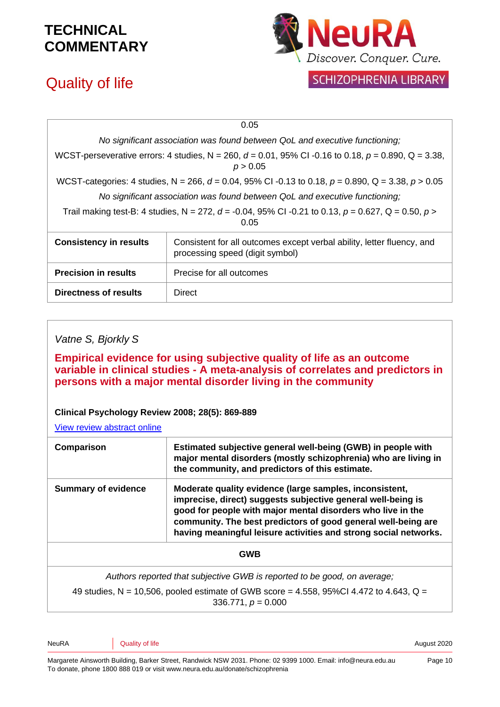# Quality of life



| 0.05                                                                                                               |                                                                                                           |  |
|--------------------------------------------------------------------------------------------------------------------|-----------------------------------------------------------------------------------------------------------|--|
| No significant association was found between QoL and executive functioning;                                        |                                                                                                           |  |
| WCST-perseverative errors: 4 studies, N = 260, d = 0.01, 95% CI -0.16 to 0.18, $p = 0.890$ , Q = 3.38,<br>p > 0.05 |                                                                                                           |  |
| WCST-categories: 4 studies, N = 266, d = 0.04, 95% CI -0.13 to 0.18, p = 0.890, Q = 3.38, p > 0.05                 |                                                                                                           |  |
| No significant association was found between QoL and executive functioning;                                        |                                                                                                           |  |
| Trail making test-B: 4 studies, N = 272, d = -0.04, 95% CI -0.21 to 0.13, $p = 0.627$ , Q = 0.50, $p >$<br>0.05    |                                                                                                           |  |
| <b>Consistency in results</b>                                                                                      | Consistent for all outcomes except verbal ability, letter fluency, and<br>processing speed (digit symbol) |  |
| <b>Precision in results</b>                                                                                        | Precise for all outcomes                                                                                  |  |
| Directness of results                                                                                              | <b>Direct</b>                                                                                             |  |

#### *Vatne S, Bjorkly S*

**Empirical evidence for using subjective quality of life as an outcome variable in clinical studies - A meta-analysis of correlates and predictors in persons with a major mental disorder living in the community**

**Clinical Psychology Review 2008; 28(5): 869-889**

[View review abstract online](http://www.ncbi.nlm.nih.gov/pubmed/18280626)

| Estimated subjective general well-being (GWB) in people with<br>Comparison<br>major mental disorders (mostly schizophrenia) who are living in<br>the community, and predictors of this estimate. |                                                                                                                                                                                                                                                                                                                             |  |
|--------------------------------------------------------------------------------------------------------------------------------------------------------------------------------------------------|-----------------------------------------------------------------------------------------------------------------------------------------------------------------------------------------------------------------------------------------------------------------------------------------------------------------------------|--|
| <b>Summary of evidence</b>                                                                                                                                                                       | Moderate quality evidence (large samples, inconsistent,<br>imprecise, direct) suggests subjective general well-being is<br>good for people with major mental disorders who live in the<br>community. The best predictors of good general well-being are<br>having meaningful leisure activities and strong social networks. |  |
|                                                                                                                                                                                                  | <b>GWB</b>                                                                                                                                                                                                                                                                                                                  |  |
|                                                                                                                                                                                                  | Authors reported that subjective GWB is reported to be good, on average;                                                                                                                                                                                                                                                    |  |

49 studies, N = 10,506, pooled estimate of GWB score = 4.558, 95%Cl 4.472 to 4.643, Q =

336.771, *p* = 0.000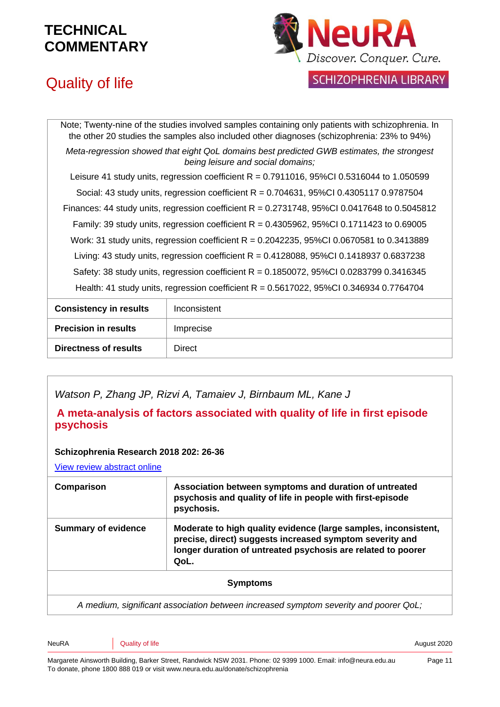



SCHIZOPHRENIA LIBRARY

| Note; Twenty-nine of the studies involved samples containing only patients with schizophrenia. In<br>the other 20 studies the samples also included other diagnoses (schizophrenia: 23% to 94%) |  |  |
|-------------------------------------------------------------------------------------------------------------------------------------------------------------------------------------------------|--|--|
| Meta-regression showed that eight QoL domains best predicted GWB estimates, the strongest<br>being leisure and social domains;                                                                  |  |  |
| Leisure 41 study units, regression coefficient $R = 0.7911016$ , 95%CI 0.5316044 to 1.050599                                                                                                    |  |  |
| Social: 43 study units, regression coefficient $R = 0.704631$ , 95%Cl 0.4305117 0.9787504                                                                                                       |  |  |
| Finances: 44 study units, regression coefficient $R = 0.2731748$ , 95%Cl 0.0417648 to 0.5045812                                                                                                 |  |  |
| Family: 39 study units, regression coefficient $R = 0.4305962$ , 95%Cl 0.1711423 to 0.69005                                                                                                     |  |  |
| Work: 31 study units, regression coefficient $R = 0.2042235$ , 95%Cl 0.0670581 to 0.3413889                                                                                                     |  |  |
| Living: 43 study units, regression coefficient R = $0.4128088$ , 95%Cl 0.1418937 0.6837238                                                                                                      |  |  |
| Safety: 38 study units, regression coefficient R = 0.1850072, 95%CI 0.0283799 0.3416345                                                                                                         |  |  |
| Health: 41 study units, regression coefficient $R = 0.5617022$ , 95%Cl 0.346934 0.7764704                                                                                                       |  |  |
|                                                                                                                                                                                                 |  |  |

| <b>Consistency in results</b> | Inconsistent |
|-------------------------------|--------------|
| <b>Precision in results</b>   | Imprecise    |
| <b>Directness of results</b>  | Direct       |

*Watson P, Zhang JP, Rizvi A, Tamaiev J, Birnbaum ML, Kane J*

#### **A meta-analysis of factors associated with quality of life in first episode psychosis**

#### **Schizophrenia Research 2018 202: 26-36**

[View review abstract online](https://www.ncbi.nlm.nih.gov/pubmed/30005933)

| Comparison                 | Association between symptoms and duration of untreated<br>psychosis and quality of life in people with first-episode<br>psychosis.                                                                  |
|----------------------------|-----------------------------------------------------------------------------------------------------------------------------------------------------------------------------------------------------|
| <b>Summary of evidence</b> | Moderate to high quality evidence (large samples, inconsistent,<br>precise, direct) suggests increased symptom severity and<br>longer duration of untreated psychosis are related to poorer<br>QoL. |
|                            | <b>Symptoms</b>                                                                                                                                                                                     |
|                            | a modium cinnificant cooperation botward increased oumntam coverity and noorer Ool.                                                                                                                 |

*A medium, significant association between increased symptom severity and poorer QoL;*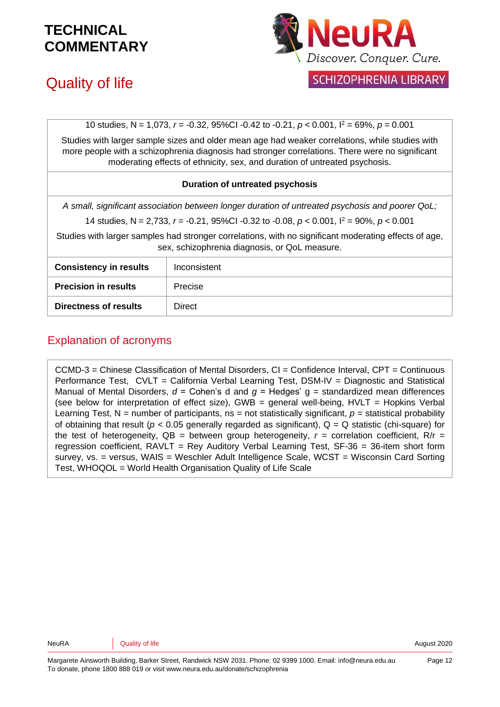

## Quality of life

SCHIZOPHRENIA LIBRARY

10 studies, N = 1,073, *r* = -0.32, 95%CI -0.42 to -0.21, *p* < 0.001, I<sup>2</sup> = 69%, *p* = 0.001

Studies with larger sample sizes and older mean age had weaker correlations, while studies with more people with a schizophrenia diagnosis had stronger correlations. There were no significant moderating effects of ethnicity, sex, and duration of untreated psychosis.

#### **Duration of untreated psychosis**

*A small, significant association between longer duration of untreated psychosis and poorer QoL;*

14 studies, N = 2,733, *r* = -0.21, 95%CI -0.32 to -0.08, *p* < 0.001, I<sup>2</sup> = 90%, *p* < 0.001

Studies with larger samples had stronger correlations, with no significant moderating effects of age, sex, schizophrenia diagnosis, or QoL measure.

| <b>Consistency in results</b> | Inconsistent |
|-------------------------------|--------------|
| <b>Precision in results</b>   | Precise      |
| <b>Directness of results</b>  | Direct       |

#### Explanation of acronyms

CCMD-3 = Chinese Classification of Mental Disorders, CI = Confidence Interval, CPT = Continuous Performance Test, CVLT = California Verbal Learning Test, DSM-IV = Diagnostic and Statistical Manual of Mental Disorders,  $d =$  Cohen's d and  $g =$  Hedges'  $g =$  standardized mean differences (see below for interpretation of effect size), GWB = general well-being,  $HVLT = Hopkins$  Verbal Learning Test,  $N =$  number of participants,  $ns =$  not statistically significant,  $p =$  statistical probability of obtaining that result ( $p < 0.05$  generally regarded as significant),  $Q = Q$  statistic (chi-square) for the test of heterogeneity,  $QB =$  between group heterogeneity,  $r =$  correlation coefficient,  $R/r =$ regression coefficient, RAVLT = Rey Auditory Verbal Learning Test, SF-36 = 36-item short form survey, vs. = versus, WAIS = Weschler Adult Intelligence Scale, WCST = Wisconsin Card Sorting Test, WHOQOL = World Health Organisation Quality of Life Scale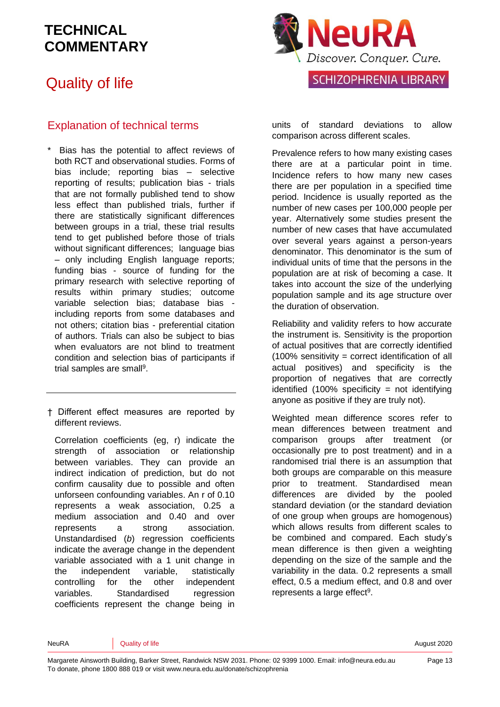## Quality of life

#### Explanation of technical terms

- Bias has the potential to affect reviews of both RCT and observational studies. Forms of bias include; reporting bias – selective reporting of results; publication bias - trials that are not formally published tend to show less effect than published trials, further if there are statistically significant differences between groups in a trial, these trial results tend to get published before those of trials without significant differences; language bias – only including English language reports; funding bias - source of funding for the primary research with selective reporting of results within primary studies; outcome variable selection bias; database bias including reports from some databases and not others; citation bias - preferential citation of authors. Trials can also be subject to bias when evaluators are not blind to treatment condition and selection bias of participants if trial samples are small<sup>9</sup>.
- † Different effect measures are reported by different reviews.

Correlation coefficients (eg, r) indicate the strength of association or relationship between variables. They can provide an indirect indication of prediction, but do not confirm causality due to possible and often unforseen confounding variables. An r of 0.10 represents a weak association, 0.25 a medium association and 0.40 and over represents a strong association. Unstandardised (*b*) regression coefficients indicate the average change in the dependent variable associated with a 1 unit change in the independent variable, statistically controlling for the other independent variables. Standardised regression coefficients represent the change being in



units of standard deviations to allow comparison across different scales.

Prevalence refers to how many existing cases there are at a particular point in time. Incidence refers to how many new cases there are per population in a specified time period. Incidence is usually reported as the number of new cases per 100,000 people per year. Alternatively some studies present the number of new cases that have accumulated over several years against a person-years denominator. This denominator is the sum of individual units of time that the persons in the population are at risk of becoming a case. It takes into account the size of the underlying population sample and its age structure over the duration of observation.

Reliability and validity refers to how accurate the instrument is. Sensitivity is the proportion of actual positives that are correctly identified (100% sensitivity = correct identification of all actual positives) and specificity is the proportion of negatives that are correctly identified  $(100\%$  specificity = not identifying anyone as positive if they are truly not).

Weighted mean difference scores refer to mean differences between treatment and comparison groups after treatment (or occasionally pre to post treatment) and in a randomised trial there is an assumption that both groups are comparable on this measure prior to treatment. Standardised mean differences are divided by the pooled standard deviation (or the standard deviation of one group when groups are homogenous) which allows results from different scales to be combined and compared. Each study's mean difference is then given a weighting depending on the size of the sample and the variability in the data. 0.2 represents a small effect, 0.5 a medium effect, and 0.8 and over represents a large effect<sup>9</sup>.

NeuRA **Quality of life August 2020** Neuron Control of the August 2020

Page 13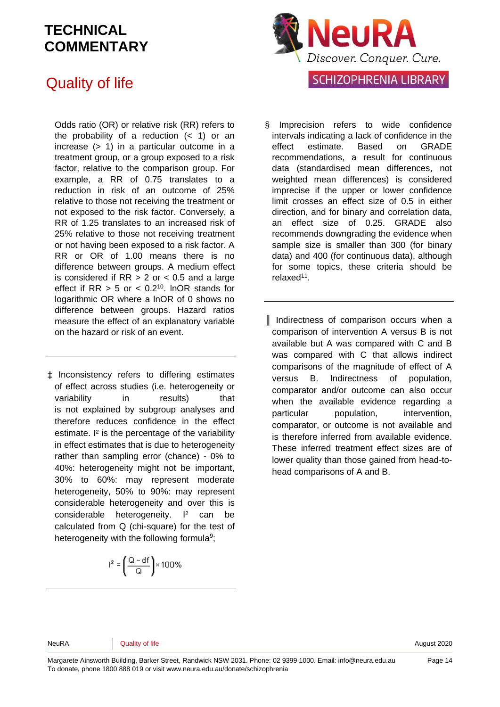## Quality of life

Odds ratio (OR) or relative risk (RR) refers to the probability of a reduction  $($  1) or an increase  $(> 1)$  in a particular outcome in a treatment group, or a group exposed to a risk factor, relative to the comparison group. For example, a RR of 0.75 translates to a reduction in risk of an outcome of 25% relative to those not receiving the treatment or not exposed to the risk factor. Conversely, a RR of 1.25 translates to an increased risk of 25% relative to those not receiving treatment or not having been exposed to a risk factor. A RR or OR of 1.00 means there is no difference between groups. A medium effect is considered if  $RR > 2$  or  $< 0.5$  and a large effect if  $RR > 5$  or  $< 0.2<sup>10</sup>$ . InOR stands for logarithmic OR where a lnOR of 0 shows no difference between groups. Hazard ratios measure the effect of an explanatory variable on the hazard or risk of an event.

‡ Inconsistency refers to differing estimates of effect across studies (i.e. heterogeneity or variability in results) that is not explained by subgroup analyses and therefore reduces confidence in the effect estimate. I² is the percentage of the variability in effect estimates that is due to heterogeneity rather than sampling error (chance) - 0% to 40%: heterogeneity might not be important, 30% to 60%: may represent moderate heterogeneity, 50% to 90%: may represent considerable heterogeneity and over this is considerable heterogeneity. I² can be calculated from Q (chi-square) for the test of heterogeneity with the following formula<sup>9</sup>;

$$
l^2=\left(\frac{Q-df}{Q}\right)\times 100\%
$$



- Imprecision refers to wide confidence intervals indicating a lack of confidence in the effect estimate. Based on GRADE recommendations, a result for continuous data (standardised mean differences, not weighted mean differences) is considered imprecise if the upper or lower confidence limit crosses an effect size of 0.5 in either direction, and for binary and correlation data, an effect size of 0.25. GRADE also recommends downgrading the evidence when sample size is smaller than 300 (for binary data) and 400 (for continuous data), although for some topics, these criteria should be relaxed<sup>11</sup>.
- ║ Indirectness of comparison occurs when a comparison of intervention A versus B is not available but A was compared with C and B was compared with C that allows indirect comparisons of the magnitude of effect of A versus B. Indirectness of population, comparator and/or outcome can also occur when the available evidence regarding a particular population, intervention, comparator, or outcome is not available and is therefore inferred from available evidence. These inferred treatment effect sizes are of lower quality than those gained from head-tohead comparisons of A and B.